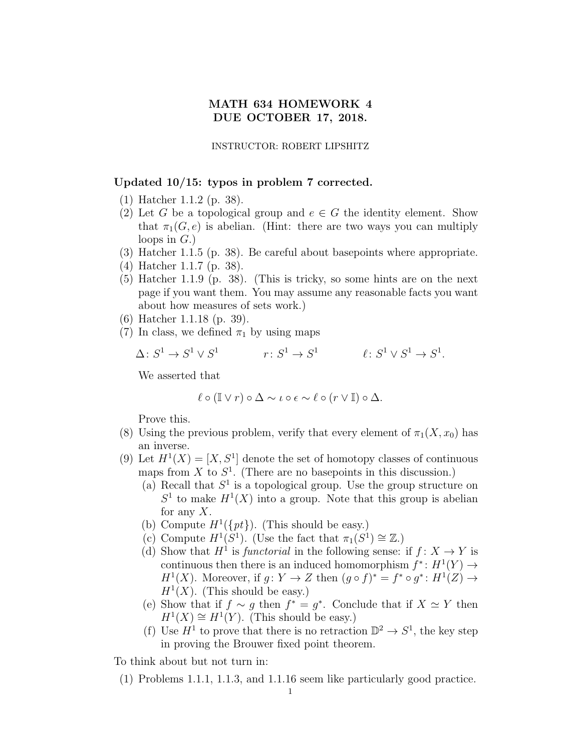## MATH 634 HOMEWORK 4 DUE OCTOBER 17, 2018.

INSTRUCTOR: ROBERT LIPSHITZ

## Updated 10/15: typos in problem 7 corrected.

- (1) Hatcher 1.1.2 (p. 38).
- (2) Let G be a topological group and  $e \in G$  the identity element. Show that  $\pi_1(G, e)$  is abelian. (Hint: there are two ways you can multiply loops in  $G$ .)
- (3) Hatcher 1.1.5 (p. 38). Be careful about basepoints where appropriate.
- (4) Hatcher 1.1.7 (p. 38).
- (5) Hatcher 1.1.9 (p. 38). (This is tricky, so some hints are on the next page if you want them. You may assume any reasonable facts you want about how measures of sets work.)
- (6) Hatcher 1.1.18 (p. 39).
- (7) In class, we defined  $\pi_1$  by using maps

 $\Delta\colon S^1\to S^1\vee S^1$  $r\colon S^1\to S^1$  $\ell \colon S^1 \vee S^1 \to S^1.$ 

We asserted that

$$
\ell \circ (\mathbb{I} \vee r) \circ \Delta \sim \iota \circ \epsilon \sim \ell \circ (r \vee \mathbb{I}) \circ \Delta.
$$

Prove this.

- (8) Using the previous problem, verify that every element of  $\pi_1(X, x_0)$  has an inverse.
- (9) Let  $H^1(X) = [X, S^1]$  denote the set of homotopy classes of continuous maps from X to  $S<sup>1</sup>$ . (There are no basepoints in this discussion.)
	- (a) Recall that  $S^1$  is a topological group. Use the group structure on  $S<sup>1</sup>$  to make  $H<sup>1</sup>(X)$  into a group. Note that this group is abelian for any  $X$ .
	- (b) Compute  $H^1({\{pt\}})$ . (This should be easy.)
	- (c) Compute  $H^1(S^1)$ . (Use the fact that  $\pi_1(S^1) \cong \mathbb{Z}$ .)
	- (d) Show that  $H^1$  is *functorial* in the following sense: if  $f: X \to Y$  is continuous then there is an induced homomorphism  $f^*: H^1(Y) \to$  $H^1(X)$ . Moreover, if  $g: Y \to Z$  then  $(g \circ f)^* = f^* \circ g^* : H^1(Z) \to$  $H<sup>1</sup>(X)$ . (This should be easy.)
	- (e) Show that if  $f \sim g$  then  $f^* = g^*$ . Conclude that if  $X \simeq Y$  then  $H^1(X) \cong H^1(Y)$ . (This should be easy.)
	- (f) Use  $H^1$  to prove that there is no retraction  $\mathbb{D}^2 \to S^1$ , the key step in proving the Brouwer fixed point theorem.

To think about but not turn in:

(1) Problems 1.1.1, 1.1.3, and 1.1.16 seem like particularly good practice.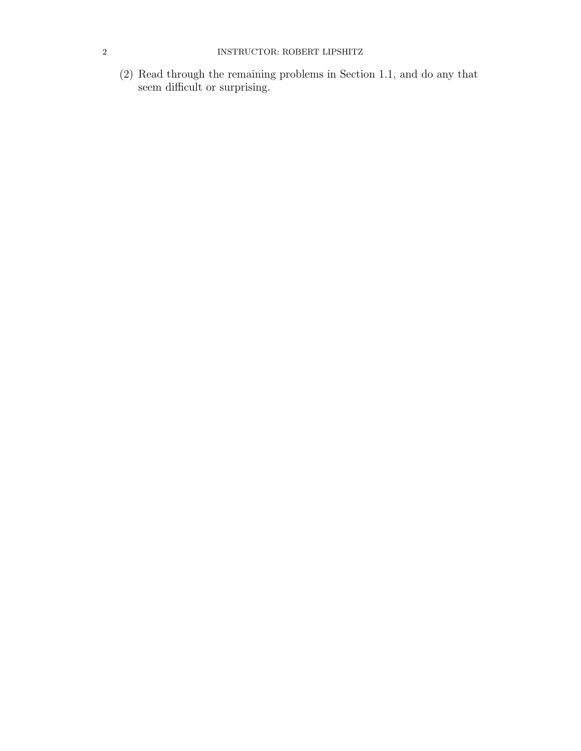(2) Read through the remaining problems in Section 1.1, and do any that seem difficult or surprising.